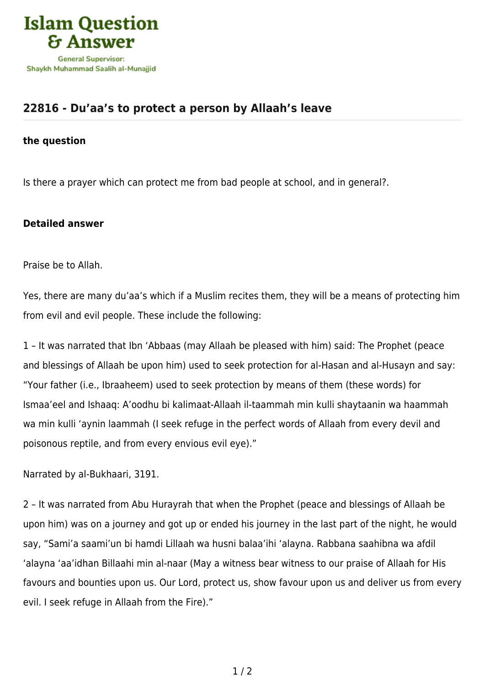

## **[22816 - Du'aa's to protect a person by Allaah's leave](https://islamqa.com/en/answers/22816/duaas-to-protect-a-person-by-allaahs-leave)**

## **the question**

Is there a prayer which can protect me from bad people at school, and in general?.

## **Detailed answer**

Praise be to Allah.

Yes, there are many du'aa's which if a Muslim recites them, they will be a means of protecting him from evil and evil people. These include the following:

1 – It was narrated that Ibn 'Abbaas (may Allaah be pleased with him) said: The Prophet (peace and blessings of Allaah be upon him) used to seek protection for al-Hasan and al-Husayn and say: "Your father (i.e., Ibraaheem) used to seek protection by means of them (these words) for Ismaa'eel and Ishaaq: A'oodhu bi kalimaat-Allaah il-taammah min kulli shaytaanin wa haammah wa min kulli 'aynin laammah (I seek refuge in the perfect words of Allaah from every devil and poisonous reptile, and from every envious evil eye)."

Narrated by al-Bukhaari, 3191.

2 – It was narrated from Abu Hurayrah that when the Prophet (peace and blessings of Allaah be upon him) was on a journey and got up or ended his journey in the last part of the night, he would say, "Sami'a saami'un bi hamdi Lillaah wa husni balaa'ihi 'alayna. Rabbana saahibna wa afdil 'alayna 'aa'idhan Billaahi min al-naar (May a witness bear witness to our praise of Allaah for His favours and bounties upon us. Our Lord, protect us, show favour upon us and deliver us from every evil. I seek refuge in Allaah from the Fire)."